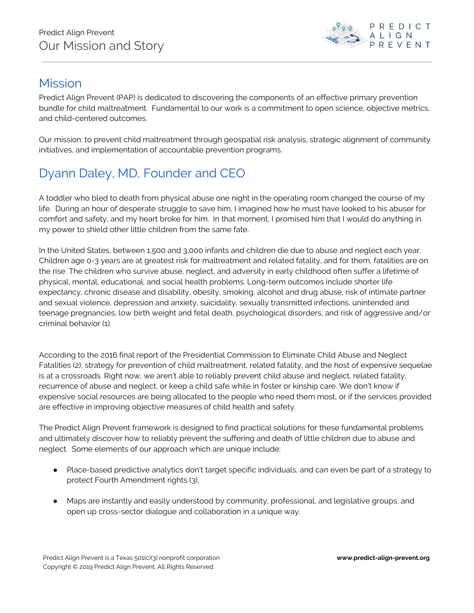

## Mission

Predict Align Prevent (PAP) is dedicated to discovering the components of an effective primary prevention bundle for child maltreatment. Fundamental to our work is a commitment to open science, objective metrics, and child-centered outcomes.

Our mission: to prevent child maltreatment through geospatial risk analysis, strategic alignment of community initiatives, and implementation of accountable prevention programs.

## Dyann Daley, MD, Founder and CEO

A toddler who bled to death from physical abuse one night in the operating room changed the course of my life. During an hour of desperate struggle to save him, I imagined how he must have looked to his abuser for comfort and safety, and my heart broke for him. In that moment, I promised him that I would do anything in my power to shield other little children from the same fate.

In the United States, between 1,500 and 3,000 infants and children die due to abuse and neglect each year. Children age 0-3 years are at greatest risk for maltreatment and related fatality, and for them, fatalities are on the rise. The children who survive abuse, neglect, and adversity in early childhood often suffer a lifetime of physical, mental, educational, and social health problems. Long-term outcomes include shorter life expectancy, chronic disease and disability, obesity, smoking, alcohol and drug abuse, risk of intimate partner and sexual violence, depression and anxiety, suicidality, sexually transmitted infections, unintended and teenage pregnancies, low birth weight and fetal death, psychological disorders, and risk of aggressive and/or criminal behavior (1).

According to the 2016 final report of the Presidential Commission to Eliminate Child Abuse and Neglect Fatalities (2), strategy for prevention of child maltreatment, related fatality, and the host of expensive sequelae is at a crossroads. Right now, we aren't able to reliably prevent child abuse and neglect, related fatality, recurrence of abuse and neglect, or keep a child safe while in foster or kinship care. We don't know if expensive social resources are being allocated to the people who need them most, or if the services provided are effective in improving objective measures of child health and safety.

The Predict Align Prevent framework is designed to find practical solutions for these fundamental problems and ultimately discover how to reliably prevent the suffering and death of little children due to abuse and neglect. Some elements of our approach which are unique include:

- Place-based predictive analytics don't target specific individuals, and can even be part of a strategy to protect Fourth Amendment rights (3).
- Maps are instantly and easily understood by community, professional, and legislative groups, and open up cross-sector dialogue and collaboration in a unique way.